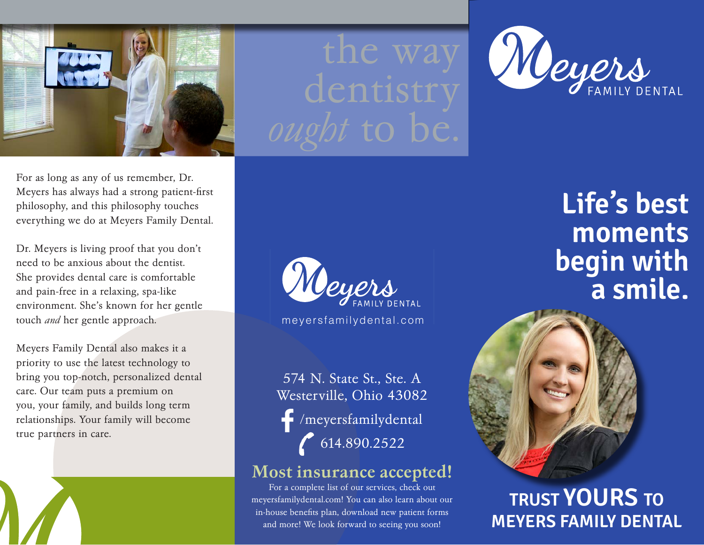

the way dentistry



For as long as any of us remember, Dr. Meyers has always had a strong patient-first philosophy, and this philosophy touches everything we do at Meyers Family Dental.

Dr. Meyers is living proof that you don't need to be anxious about the dentist. She provides dental care is comfortable and pain-free in a relaxing, spa-like environment. She's known for her gentle touch *and* her gentle approach.

Meyers Family Dental also makes it a priority to use the latest technology to bring you top-notch, personalized dental care. Our team puts a premium on you, your family, and builds long term relationships. Your family will become true partners in care.



574 N. State St., Ste. A Westerville, Ohio 43082 /meyersfamilydental  $614.890.2522$ 

## Most insurance accepted!

For a complete list of our services, check out meyersfamilydental.com! You can also learn about our in-house benefits plan, download new patient forms and more! We look forward to seeing you soon!

Life's best **moments begin with a smile.**



**TRUST YOURS TO MEYERS FAMILY DENTAL**